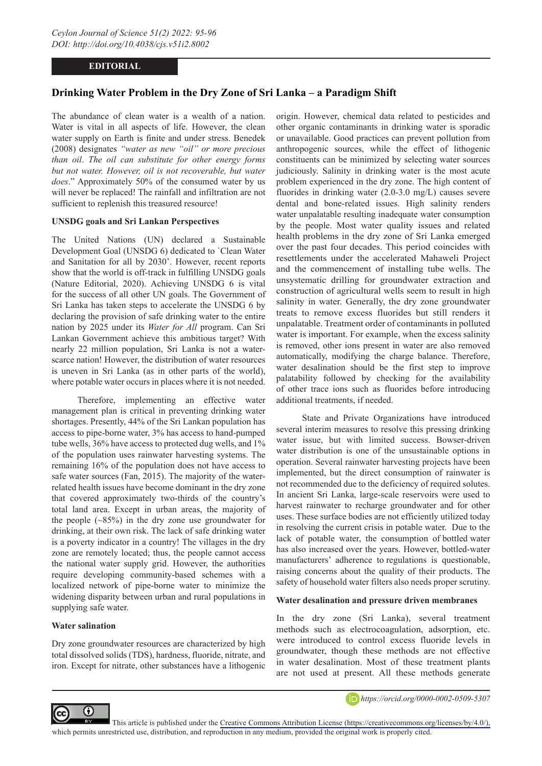## **EDITORIAL**

# **Drinking Water Problem in the Dry Zone of Sri Lanka – a Paradigm Shift**

The abundance of clean water is a wealth of a nation. Water is vital in all aspects of life. However, the clean water supply on Earth is finite and under stress. Benedek (2008) designates *"water as new "oil" or more precious than oil*. *The oil can substitute for other energy forms but not water. However, oil is not recoverable, but water does*." Approximately 50% of the consumed water by us will never be replaced! The rainfall and infiltration are not sufficient to replenish this treasured resource!

#### **UNSDG goals and Sri Lankan Perspectives**

The United Nations (UN) declared a Sustainable Development Goal (UNSDG 6) dedicated to `Clean Water and Sanitation for all by 2030'. However, recent reports show that the world is off-track in fulfilling UNSDG goals (Nature Editorial, 2020). Achieving UNSDG 6 is vital for the success of all other UN goals. The Government of Sri Lanka has taken steps to accelerate the UNSDG 6 by declaring the provision of safe drinking water to the entire nation by 2025 under its *Water for All* program. Can Sri Lankan Government achieve this ambitious target? With nearly 22 million population, Sri Lanka is not a waterscarce nation! However, the distribution of water resources is uneven in Sri Lanka (as in other parts of the world), where potable water occurs in places where it is not needed.

Therefore, implementing an effective water management plan is critical in preventing drinking water shortages. Presently, 44% of the Sri Lankan population has access to pipe-borne water, 3% has access to hand-pumped tube wells, 36% have access to protected dug wells, and 1% of the population uses rainwater harvesting systems. The remaining 16% of the population does not have access to safe water sources (Fan, 2015). The majority of the waterrelated health issues have become dominant in the dry zone that covered approximately two-thirds of the country's total land area. Except in urban areas, the majority of the people  $(\sim 85\%)$  in the dry zone use groundwater for drinking, at their own risk. The lack of safe drinking water is a poverty indicator in a country! The villages in the dry zone are remotely located; thus, the people cannot access the national water supply grid. However, the authorities require developing community-based schemes with a localized network of pipe-borne water to minimize the widening disparity between urban and rural populations in supplying safe water.

## **Water salination**

 $\left( \cdot \right)$ 

cc

Dry zone groundwater resources are characterized by high total dissolved solids (TDS), hardness, fluoride, nitrate, and iron. Except for nitrate, other substances have a lithogenic

origin. However, chemical data related to pesticides and other organic contaminants in drinking water is sporadic or unavailable. Good practices can prevent pollution from anthropogenic sources, while the effect of lithogenic constituents can be minimized by selecting water sources judiciously. Salinity in drinking water is the most acute problem experienced in the dry zone. The high content of fluorides in drinking water (2.0-3.0 mg/L) causes severe dental and bone-related issues. High salinity renders water unpalatable resulting inadequate water consumption by the people. Most water quality issues and related health problems in the dry zone of Sri Lanka emerged over the past four decades. This period coincides with resettlements under the accelerated Mahaweli Project and the commencement of installing tube wells. The unsystematic drilling for groundwater extraction and construction of agricultural wells seem to result in high salinity in water. Generally, the dry zone groundwater treats to remove excess fluorides but still renders it unpalatable. Treatment order of contaminants in polluted water is important. For example, when the excess salinity is removed, other ions present in water are also removed automatically, modifying the charge balance. Therefore, water desalination should be the first step to improve palatability followed by checking for the availability of other trace ions such as fluorides before introducing additional treatments, if needed.

State and Private Organizations have introduced several interim measures to resolve this pressing drinking water issue, but with limited success. Bowser-driven water distribution is one of the unsustainable options in operation. Several rainwater harvesting projects have been implemented, but the direct consumption of rainwater is not recommended due to the deficiency of required solutes. In ancient Sri Lanka, large-scale reservoirs were used to harvest rainwater to recharge groundwater and for other uses. These surface bodies are not efficiently utilized today in resolving the current crisis in potable water. Due to the lack of potable water, the consumption of bottled water has also increased over the years. However, bottled-water manufacturers' adherence to regulations is questionable, raising concerns about the quality of their products. The safety of household water filters also needs proper scrutiny.

#### **Water desalination and pressure driven membranes**

In the dry zone (Sri Lanka), several treatment methods such as electrocoagulation, adsorption, etc. were introduced to control excess fluoride levels in groundwater, though these methods are not effective in water desalination. Most of these treatment plants are not used at present. All these methods generate



This article is published under the [Creative Commons Attribution License \(https://creativecommons.org/licenses/by/4.0/\),](https://creativecommons.org/licenses/by/4.0/)  which permits unrestricted use, distribution, and reproduction in any medium, provided the original work is properly cited.